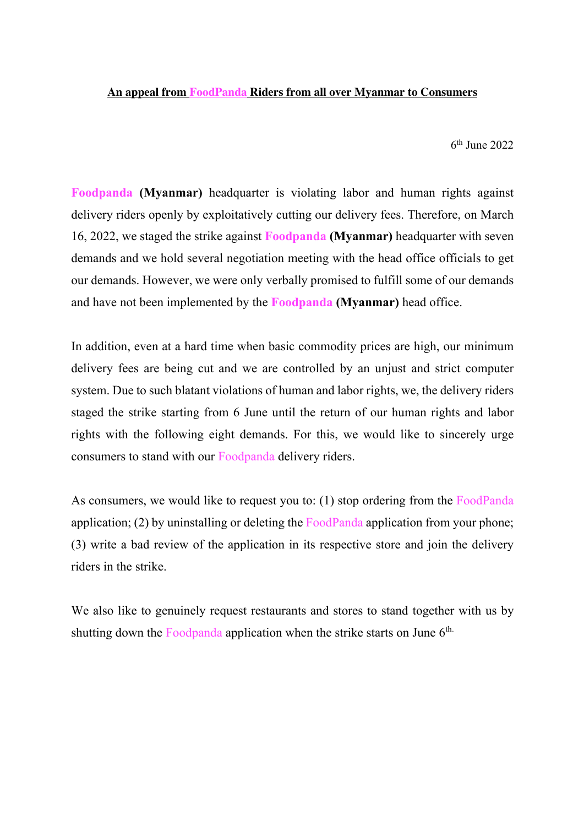## **An appeal from FoodPanda Riders from all over Myanmar to Consumers**

 $6<sup>th</sup>$  June 2022

**Foodpanda (Myanmar)** headquarter is violating labor and human rights against delivery riders openly by exploitatively cutting our delivery fees. Therefore, on March 16, 2022, we staged the strike against **Foodpanda (Myanmar)** headquarter with seven demands and we hold several negotiation meeting with the head office officials to get our demands. However, we were only verbally promised to fulfill some of our demands and have not been implemented by the **Foodpanda (Myanmar)** head office.

In addition, even at a hard time when basic commodity prices are high, our minimum delivery fees are being cut and we are controlled by an unjust and strict computer system. Due to such blatant violations of human and labor rights, we, the delivery riders staged the strike starting from 6 June until the return of our human rights and labor rights with the following eight demands. For this, we would like to sincerely urge consumers to stand with our Foodpanda delivery riders.

As consumers, we would like to request you to: (1) stop ordering from the FoodPanda application; (2) by uninstalling or deleting the FoodPanda application from your phone; (3) write a bad review of the application in its respective store and join the delivery riders in the strike.

We also like to genuinely request restaurants and stores to stand together with us by shutting down the Foodpanda application when the strike starts on June 6<sup>th.</sup>